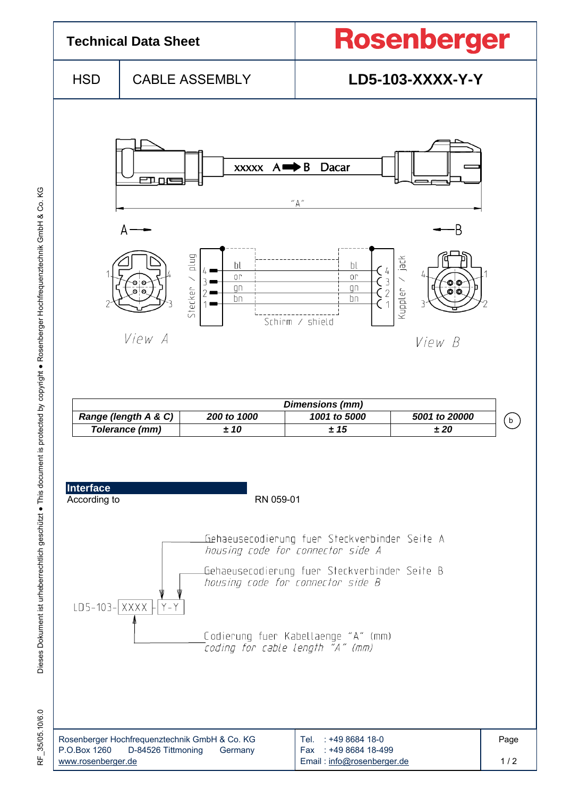

RF\_35/05.10/6.0 35/05.10/6.0 눈